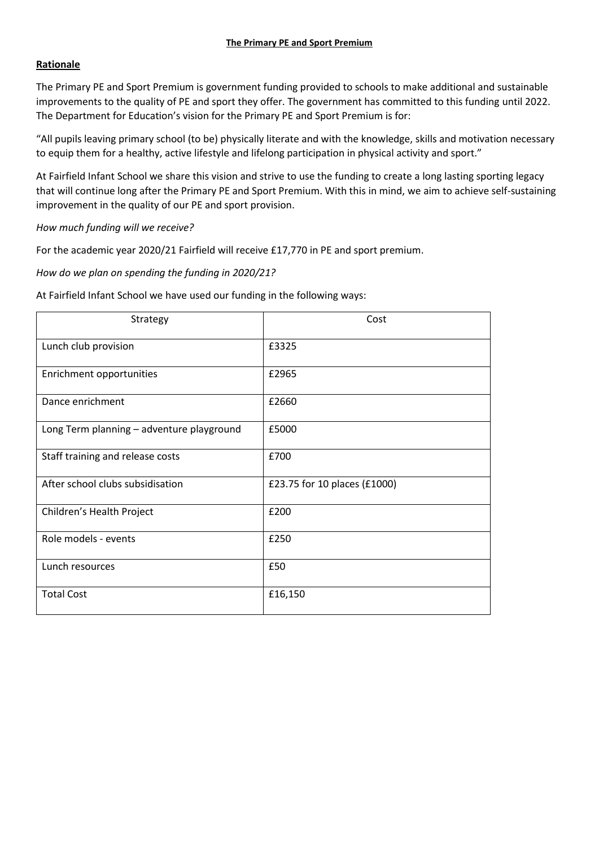## **Rationale**

The Primary PE and Sport Premium is government funding provided to schools to make additional and sustainable improvements to the quality of PE and sport they offer. The government has committed to this funding until 2022. The Department for Education's vision for the Primary PE and Sport Premium is for:

"All pupils leaving primary school (to be) physically literate and with the knowledge, skills and motivation necessary to equip them for a healthy, active lifestyle and lifelong participation in physical activity and sport."

At Fairfield Infant School we share this vision and strive to use the funding to create a long lasting sporting legacy that will continue long after the Primary PE and Sport Premium. With this in mind, we aim to achieve self-sustaining improvement in the quality of our PE and sport provision.

## *How much funding will we receive?*

For the academic year 2020/21 Fairfield will receive £17,770 in PE and sport premium.

## *How do we plan on spending the funding in 2020/21?*

| At Fairfield Infant School we have used our funding in the following ways: |  |
|----------------------------------------------------------------------------|--|
|                                                                            |  |

| Strategy                                  | Cost                         |
|-------------------------------------------|------------------------------|
| Lunch club provision                      | £3325                        |
| Enrichment opportunities                  | £2965                        |
| Dance enrichment                          | £2660                        |
| Long Term planning - adventure playground | £5000                        |
| Staff training and release costs          | £700                         |
| After school clubs subsidisation          | £23.75 for 10 places (£1000) |
| Children's Health Project                 | £200                         |
| Role models - events                      | £250                         |
| Lunch resources                           | £50                          |
| <b>Total Cost</b>                         | £16,150                      |